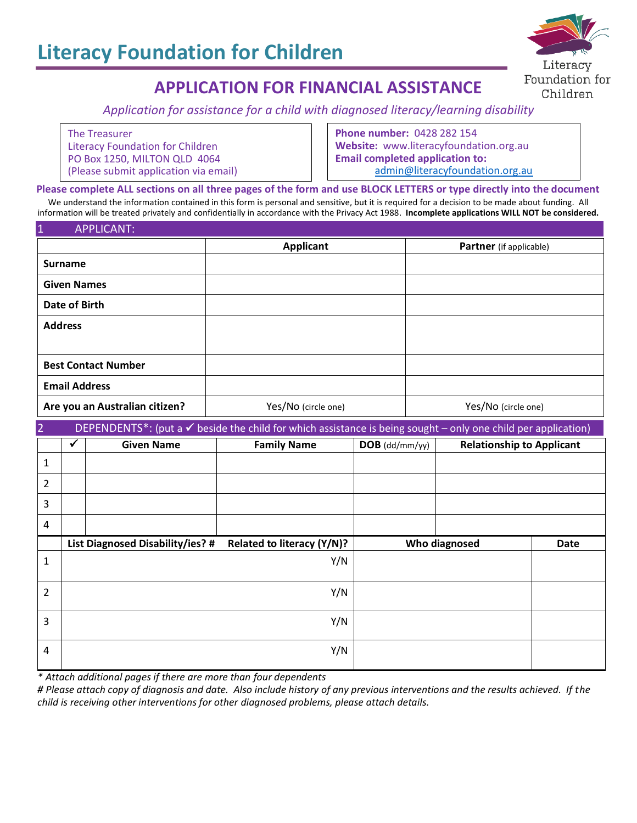

# **APPLICATION FOR FINANCIAL ASSISTANCE**

*Application for assistance for a child with diagnosed literacy/learning disability*

| The Treasurer                         |
|---------------------------------------|
| Literacy Foundation for Children      |
| PO Box 1250, MILTON QLD 4064          |
| (Please submit application via email) |

**Phone number:** 0428 282 154 **Website:** www.literacyfoundation.org.au **Email completed application to:** [admin@literacyfoundation.org.au](mailto:admin@literacyfoundation.org.au)

Please complete ALL sections on all three pages of the form and use BLOCK LETTERS or type directly into the document doe compress the securities in this form is personal and sensitive, but it is required for a decision to be made about funding. All We understand the information contained in this form is personal and sensitive, but it is information will be treated privately and confidentially in accordance with the Privacy Act 1988. **Incomplete applications WILL NOT be considered.**

| $\vert$ 1                      | <b>APPLICANT:</b>                                                                                                        |                                  |                            |                  |                                |                                  |             |
|--------------------------------|--------------------------------------------------------------------------------------------------------------------------|----------------------------------|----------------------------|------------------|--------------------------------|----------------------------------|-------------|
|                                |                                                                                                                          |                                  | <b>Applicant</b>           |                  | <b>Partner</b> (if applicable) |                                  |             |
| <b>Surname</b>                 |                                                                                                                          |                                  |                            |                  |                                |                                  |             |
| <b>Given Names</b>             |                                                                                                                          |                                  |                            |                  |                                |                                  |             |
| <b>Date of Birth</b>           |                                                                                                                          |                                  |                            |                  |                                |                                  |             |
| <b>Address</b>                 |                                                                                                                          |                                  |                            |                  |                                |                                  |             |
|                                |                                                                                                                          |                                  |                            |                  |                                |                                  |             |
| <b>Best Contact Number</b>     |                                                                                                                          |                                  |                            |                  |                                |                                  |             |
| <b>Email Address</b>           |                                                                                                                          |                                  |                            |                  |                                |                                  |             |
| Are you an Australian citizen? |                                                                                                                          |                                  | Yes/No (circle one)        |                  | Yes/No (circle one)            |                                  |             |
| $\overline{2}$                 | DEPENDENTS*: (put a $\checkmark$ beside the child for which assistance is being sought - only one child per application) |                                  |                            |                  |                                |                                  |             |
|                                | $\checkmark$                                                                                                             | <b>Given Name</b>                | <b>Family Name</b>         | $DOB$ (dd/mm/yy) |                                | <b>Relationship to Applicant</b> |             |
| 1                              |                                                                                                                          |                                  |                            |                  |                                |                                  |             |
| 2                              |                                                                                                                          |                                  |                            |                  |                                |                                  |             |
| 3                              |                                                                                                                          |                                  |                            |                  |                                |                                  |             |
| $\overline{4}$                 |                                                                                                                          |                                  |                            |                  |                                |                                  |             |
|                                |                                                                                                                          | List Diagnosed Disability/ies? # | Related to literacy (Y/N)? |                  | Who diagnosed                  |                                  | <b>Date</b> |
| $\mathbf{1}$                   |                                                                                                                          |                                  | Y/N                        |                  |                                |                                  |             |
| 2                              |                                                                                                                          |                                  | Y/N                        |                  |                                |                                  |             |
| 3                              |                                                                                                                          |                                  | Y/N                        |                  |                                |                                  |             |
| 4                              |                                                                                                                          |                                  | Y/N                        |                  |                                |                                  |             |

*\* Attach additional pages if there are more than four dependents*

*# Please attach copy of diagnosis and date. Also include history of any previous interventions and the results achieved. If the child is receiving other interventions for other diagnosed problems, please attach details.*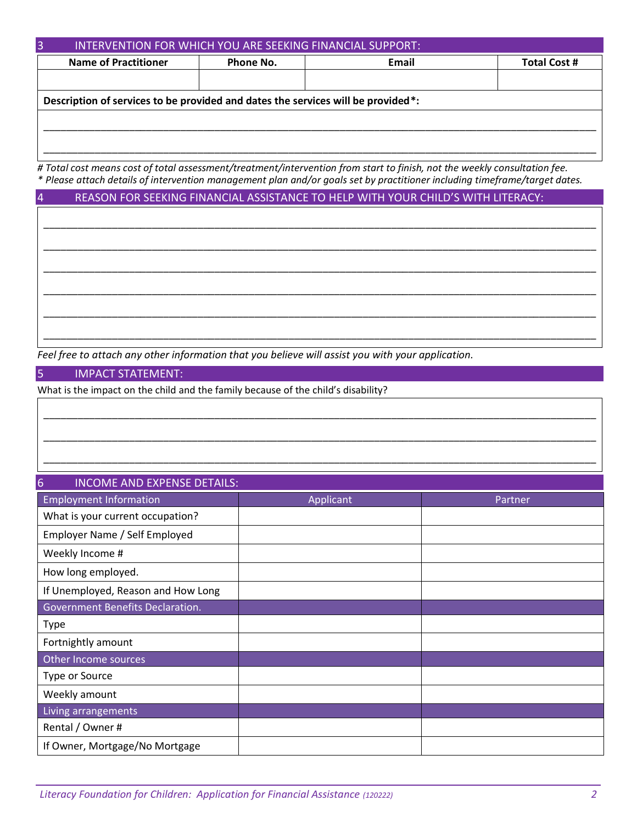| <b>Name of Practitioner</b>                                                      | Email<br>Phone No. | <b>Total Cost #</b> |  |  |  |  |  |
|----------------------------------------------------------------------------------|--------------------|---------------------|--|--|--|--|--|
|                                                                                  |                    |                     |  |  |  |  |  |
|                                                                                  |                    |                     |  |  |  |  |  |
| Description of services to be provided and dates the services will be provided*: |                    |                     |  |  |  |  |  |

*# Total cost means cost of total assessment/treatment/intervention from start to finish, not the weekly consultation fee. \* Please attach details of intervention management plan and/or goals set by practitioner including timeframe/target dates.*

\_\_\_\_\_\_\_\_\_\_\_\_\_\_\_\_\_\_\_\_\_\_\_\_\_\_\_\_\_\_\_\_\_\_\_\_\_\_\_\_\_\_\_\_\_\_\_\_\_\_\_\_\_\_\_\_\_\_\_\_\_\_\_\_\_\_\_\_\_\_\_\_\_\_\_\_\_\_\_\_\_\_\_\_\_\_\_\_\_\_\_\_\_\_\_\_\_

\_\_\_\_\_\_\_\_\_\_\_\_\_\_\_\_\_\_\_\_\_\_\_\_\_\_\_\_\_\_\_\_\_\_\_\_\_\_\_\_\_\_\_\_\_\_\_\_\_\_\_\_\_\_\_\_\_\_\_\_\_\_\_\_\_\_\_\_\_\_\_\_\_\_\_\_\_\_\_\_\_\_\_\_\_\_\_\_\_\_\_\_\_\_\_\_\_

\_\_\_\_\_\_\_\_\_\_\_\_\_\_\_\_\_\_\_\_\_\_\_\_\_\_\_\_\_\_\_\_\_\_\_\_\_\_\_\_\_\_\_\_\_\_\_\_\_\_\_\_\_\_\_\_\_\_\_\_\_\_\_\_\_\_\_\_\_\_\_\_\_\_\_\_\_\_\_\_\_\_\_\_\_\_\_\_\_\_\_\_\_\_\_\_\_

\_\_\_\_\_\_\_\_\_\_\_\_\_\_\_\_\_\_\_\_\_\_\_\_\_\_\_\_\_\_\_\_\_\_\_\_\_\_\_\_\_\_\_\_\_\_\_\_\_\_\_\_\_\_\_\_\_\_\_\_\_\_\_\_\_\_\_\_\_\_\_\_\_\_\_\_\_\_\_\_\_\_\_\_\_\_\_\_\_\_\_\_\_\_\_\_\_

\_\_\_\_\_\_\_\_\_\_\_\_\_\_\_\_\_\_\_\_\_\_\_\_\_\_\_\_\_\_\_\_\_\_\_\_\_\_\_\_\_\_\_\_\_\_\_\_\_\_\_\_\_\_\_\_\_\_\_\_\_\_\_\_\_\_\_\_\_\_\_\_\_\_\_\_\_\_\_\_\_\_\_\_\_\_\_\_\_\_\_\_\_\_\_\_\_

\_\_\_\_\_\_\_\_\_\_\_\_\_\_\_\_\_\_\_\_\_\_\_\_\_\_\_\_\_\_\_\_\_\_\_\_\_\_\_\_\_\_\_\_\_\_\_\_\_\_\_\_\_\_\_\_\_\_\_\_\_\_\_\_\_\_\_\_\_\_\_\_\_\_\_\_\_\_\_\_\_\_\_\_\_\_\_\_\_\_\_\_\_\_\_\_\_

\_\_\_\_\_\_\_\_\_\_\_\_\_\_\_\_\_\_\_\_\_\_\_\_\_\_\_\_\_\_\_\_\_\_\_\_\_\_\_\_\_\_\_\_\_\_\_\_\_\_\_\_\_\_\_\_\_\_\_\_\_\_\_\_\_\_\_\_\_\_\_\_\_\_\_\_\_\_\_\_\_\_\_\_\_\_\_\_\_\_\_\_\_\_\_\_\_

\_\_\_\_\_\_\_\_\_\_\_\_\_\_\_\_\_\_\_\_\_\_\_\_\_\_\_\_\_\_\_\_\_\_\_\_\_\_\_\_\_\_\_\_\_\_\_\_\_\_\_\_\_\_\_\_\_\_\_\_\_\_\_\_\_\_\_\_\_\_\_\_\_\_\_\_\_\_\_\_\_\_\_\_\_\_\_\_\_\_\_\_\_\_\_\_\_

\_\_\_\_\_\_\_\_\_\_\_\_\_\_\_\_\_\_\_\_\_\_\_\_\_\_\_\_\_\_\_\_\_\_\_\_\_\_\_\_\_\_\_\_\_\_\_\_\_\_\_\_\_\_\_\_\_\_\_\_\_\_\_\_\_\_\_\_\_\_\_\_\_\_\_\_\_\_\_\_\_\_\_\_\_\_\_\_\_\_\_\_\_\_\_\_\_

4 REASON FOR SEEKING FINANCIAL ASSISTANCE TO HELP WITH YOUR CHILD'S WITH LITERACY:

*Feel free to attach any other information that you believe will assist you with your application.*

### 5 IMPACT STATEMENT:

What is the impact on the child and the family because of the child's disability?

| $6\overline{6}$<br>INCOME AND EXPENSE DETAILS: |           |         |  |  |
|------------------------------------------------|-----------|---------|--|--|
| <b>Employment Information</b>                  | Applicant | Partner |  |  |
| What is your current occupation?               |           |         |  |  |
| Employer Name / Self Employed                  |           |         |  |  |
| Weekly Income #                                |           |         |  |  |
| How long employed.                             |           |         |  |  |
| If Unemployed, Reason and How Long             |           |         |  |  |
| Government Benefits Declaration.               |           |         |  |  |
| <b>Type</b>                                    |           |         |  |  |
| Fortnightly amount                             |           |         |  |  |
| Other Income sources                           |           |         |  |  |
| Type or Source                                 |           |         |  |  |
| Weekly amount                                  |           |         |  |  |
| Living arrangements                            |           |         |  |  |
| Rental / Owner #                               |           |         |  |  |
| If Owner, Mortgage/No Mortgage                 |           |         |  |  |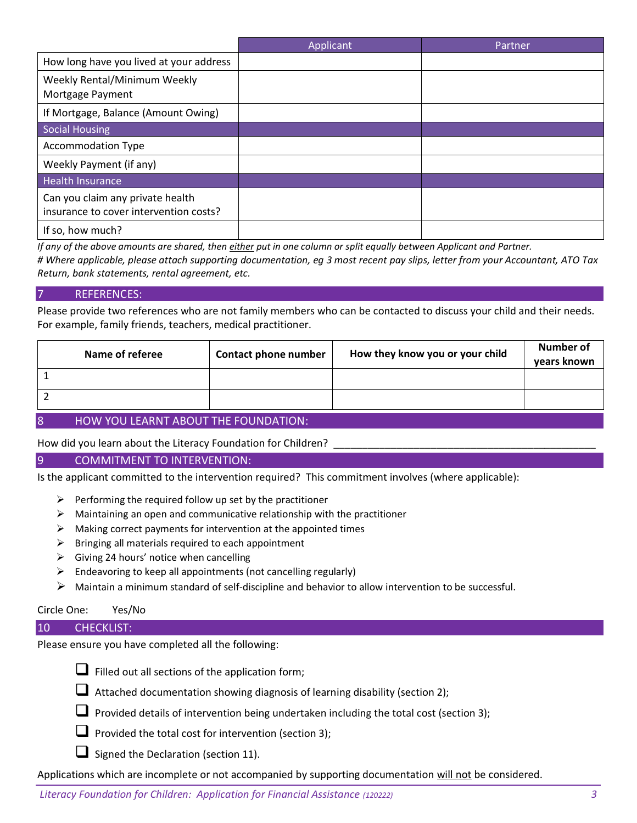|                                                                            | Applicant | Partner |
|----------------------------------------------------------------------------|-----------|---------|
| How long have you lived at your address                                    |           |         |
| Weekly Rental/Minimum Weekly<br>Mortgage Payment                           |           |         |
| If Mortgage, Balance (Amount Owing)                                        |           |         |
| Social Housing                                                             |           |         |
| <b>Accommodation Type</b>                                                  |           |         |
| Weekly Payment (if any)                                                    |           |         |
| <b>Health Insurance</b>                                                    |           |         |
| Can you claim any private health<br>insurance to cover intervention costs? |           |         |
| If so, how much?                                                           |           |         |

*If any of the above amounts are shared, then either put in one column or split equally between Applicant and Partner.*

*# Where applicable, please attach supporting documentation, eg 3 most recent pay slips, letter from your Accountant, ATO Tax Return, bank statements, rental agreement, etc.*

## 7 REFERENCES:

Please provide two references who are not family members who can be contacted to discuss your child and their needs. For example, family friends, teachers, medical practitioner.

| Name of referee | <b>Contact phone number</b> | How they know you or your child | <b>Number of</b><br>years known |  |  |
|-----------------|-----------------------------|---------------------------------|---------------------------------|--|--|
|                 |                             |                                 |                                 |  |  |
|                 |                             |                                 |                                 |  |  |
|                 |                             |                                 |                                 |  |  |

## 8 HOW YOU LEARNT ABOUT THE FOUNDATION:

#### How did you learn about the Literacy Foundation for Children?

#### 9 COMMITMENT TO INTERVENTION:

Is the applicant committed to the intervention required? This commitment involves (where applicable):

- $\triangleright$  Performing the required follow up set by the practitioner
- $\triangleright$  Maintaining an open and communicative relationship with the practitioner
- $\triangleright$  Making correct payments for intervention at the appointed times
- ➢ Bringing all materials required to each appointment
- $\triangleright$  Giving 24 hours' notice when cancelling
- $\triangleright$  Endeavoring to keep all appointments (not cancelling regularly)
- $\triangleright$  Maintain a minimum standard of self-discipline and behavior to allow intervention to be successful.

## Circle One: Yes/No

#### 10 CHECKLIST:

Please ensure you have completed all the following:



- $\Box$  Filled out all sections of the application form;
- ❑ Attached documentation showing diagnosis of learning disability (section 2);
- $\Box$  Provided details of intervention being undertaken including the total cost (section 3);
- Provided the total cost for intervention (section 3);
- $\Box$  Signed the Declaration (section 11).

Applications which are incomplete or not accompanied by supporting documentation will not be considered.